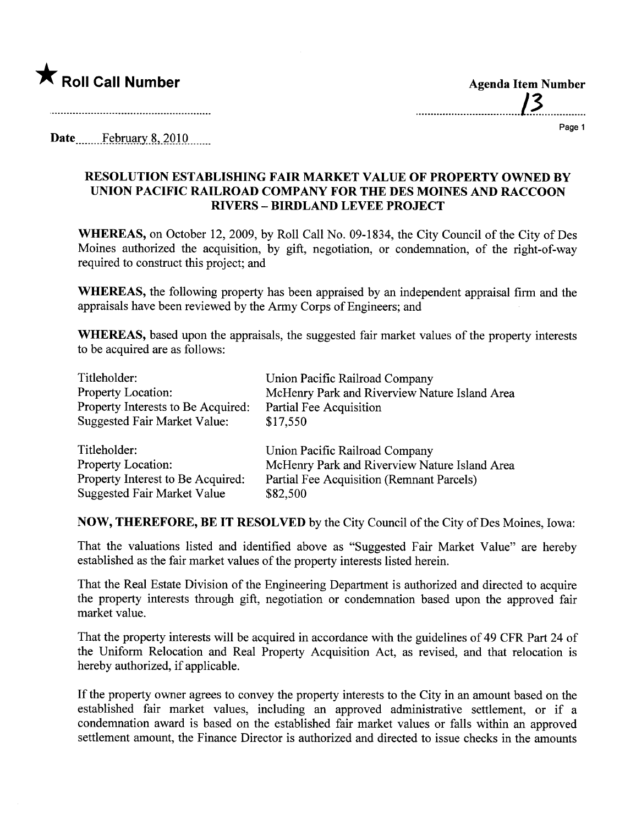

## Page 1

Date February 8, 2010

## RESOLUTION ESTABLISHING FAIR MARKET VALUE OF PROPERTY OWNED BY UNION PACIFIC RAILROAD COMPANY FOR THE DES MOINES AND RACCOON RIVERS - BIRDLAND LEVEE PROJECT

WHEREAS, on October 12, 2009, by Roll Call No. 09-1834, the City Council of the City of Des Moines authorized the acquisition, by gift, negotiation, or condemnation, of the right-of-way required to construct this project; and

WHEREAS, the following property has been appraised by an independent appraisal firm and the appraisals have been reviewed by the Army Corps of Engineers; and

WHEREAS, based upon the appraisals, the suggested fair market values of the property interests to be acquired are as follows:

| Titleholder:                        | Union Pacific Railroad Company                |
|-------------------------------------|-----------------------------------------------|
| <b>Property Location:</b>           | McHenry Park and Riverview Nature Island Area |
| Property Interests to Be Acquired:  | Partial Fee Acquisition                       |
| <b>Suggested Fair Market Value:</b> | \$17,550                                      |
| Titleholder:                        | Union Pacific Railroad Company                |
| <b>Property Location:</b>           | McHenry Park and Riverview Nature Island Area |
| Property Interest to Be Acquired:   | Partial Fee Acquisition (Remnant Parcels)     |
| <b>Suggested Fair Market Value</b>  | \$82,500                                      |

NOW, THEREFORE, BE IT RESOLVED by the City Council of the City of Des Moines, Iowa:

That the valuations listed and identified above as "Suggested Fair Market Value" are hereby established as the fair market values of the property interests listed herein.

That the Real Estate Division of the Engineering Department is authorized and directed to acquire the property interests through gift, negotiation or condemnation based upon the approved fair market value.

That the property interests will be acquired in accordance with the guidelines of 49 CFR Part 24 of the Uniform Relocation and Real Property Acquisition Act, as revised, and that relocation is hereby authorized, if applicable.

If the property owner agrees to convey the property interests to the City in an amount based on the established fair market values, including an approved administrative settlement, or if a condemnation award is based on the established fair market values or falls within an approved settlement amount, the Finance Director is authorized and directed to issue checks in the amounts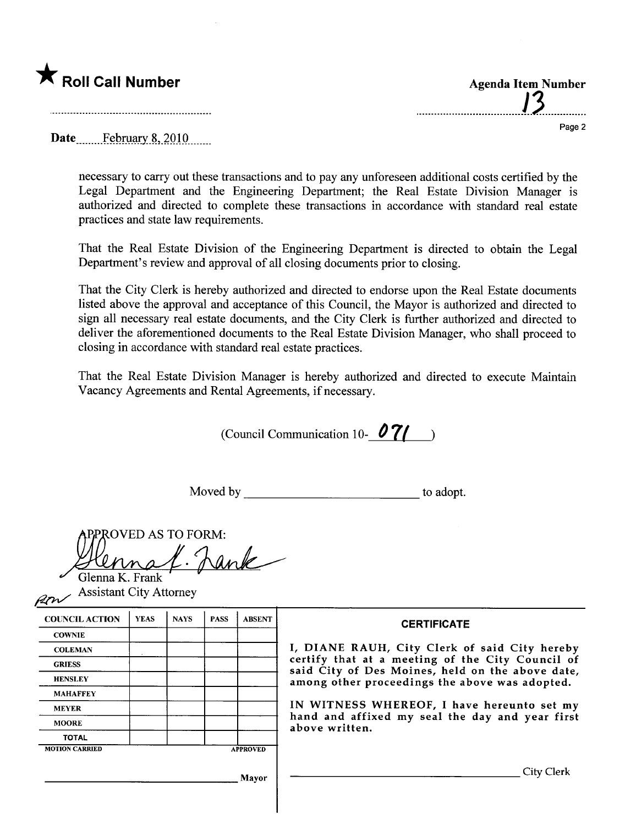

...................................1.).............. Page 2

Date February 8, 2010

necessary to cary out these transactions and to pay any unforeseen additional costs certified by the Legal Department and the Engineering Department; the Real Estate Division Manager is authorized and directed to complete these transactions in accordance with standard real estate practices and state law requirements.

That the Real Estate Division of the Engineering Department is directed to obtain the Legal Department's review and approval of all closing documents prior to closing.

That the City Clerk is hereby authorized and directed to endorse upon the Real Estate documents listed above the approval and acceptance of this Council, the Mayor is authorized and directed to sign all necessary real estate documents, and the City Clerk is further authorized and directed to deliver the aforementioned documents to the Real Estate Division Manager, who shall proceed to closing in accordance with standard real estate practices.

That the Real Estate Division Manager is hereby authorized and directed to execute Maintain Vacancy Agreements and Rental Agreements, if necessary.

(Council Communication 10-  $\mathcal{O}7$ ( )

Moved by to adopt.

| ROVED AS TO FORM: |
|-------------------|
|                   |
| enna K. Frank     |

 $\sim$  Assistant City Attorney

| 12CW                  |             |             |             |                 |                                                                                                                                                                                                                                                                                                                            |  |
|-----------------------|-------------|-------------|-------------|-----------------|----------------------------------------------------------------------------------------------------------------------------------------------------------------------------------------------------------------------------------------------------------------------------------------------------------------------------|--|
| <b>COUNCIL ACTION</b> | <b>YEAS</b> | <b>NAYS</b> | <b>PASS</b> | <b>ABSENT</b>   | <b>CERTIFICATE</b>                                                                                                                                                                                                                                                                                                         |  |
| <b>COWNIE</b>         |             |             |             |                 |                                                                                                                                                                                                                                                                                                                            |  |
| <b>COLEMAN</b>        |             |             |             |                 | I, DIANE RAUH, City Clerk of said City hereby<br>certify that at a meeting of the City Council of<br>said City of Des Moines, held on the above date,<br>among other proceedings the above was adopted.<br>IN WITNESS WHEREOF, I have hereunto set my<br>hand and affixed my seal the day and year first<br>above written. |  |
| <b>GRIESS</b>         |             |             |             |                 |                                                                                                                                                                                                                                                                                                                            |  |
| <b>HENSLEY</b>        |             |             |             |                 |                                                                                                                                                                                                                                                                                                                            |  |
| <b>MAHAFFEY</b>       |             |             |             |                 |                                                                                                                                                                                                                                                                                                                            |  |
| <b>MEYER</b>          |             |             |             |                 |                                                                                                                                                                                                                                                                                                                            |  |
| <b>MOORE</b>          |             |             |             |                 |                                                                                                                                                                                                                                                                                                                            |  |
| <b>TOTAL</b>          |             |             |             |                 |                                                                                                                                                                                                                                                                                                                            |  |
| <b>MOTION CARRIED</b> |             |             |             | <b>APPROVED</b> |                                                                                                                                                                                                                                                                                                                            |  |
|                       |             |             |             | <b>Mayor</b>    | City Clerk                                                                                                                                                                                                                                                                                                                 |  |